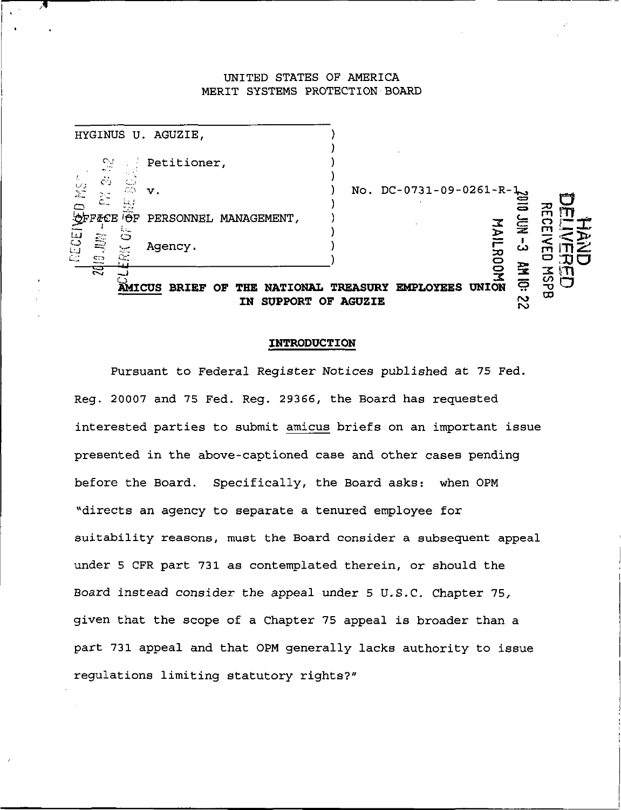## UNITED STATES OF AMERICA MERIT SYSTEMS PROTECTION BOARD

| HYGINUS U. AGUZIE,                                                                                                                                                                                                              |                               |
|---------------------------------------------------------------------------------------------------------------------------------------------------------------------------------------------------------------------------------|-------------------------------|
| $\sim$<br>Petitioner,<br>$\mathcal{L}_{\rm{max}}$                                                                                                                                                                               |                               |
| $\mathcal{L}$<br>$\langle \ldots \rangle$<br>$\frac{C}{2}$<br>$\mathcal{L}^m$<br>$\mathbf v$ .<br>$\widetilde{\mathbb{C}}$<br>L.                                                                                                | No. DC-0731-09-0261-R-1       |
| $\Box$<br>$-1$<br>'F <i>I</i> CE ' <del>O</del> F PERSONNEL MANAGEMENT,<br>$L_{\rm{min}}$                                                                                                                                       | 꼮<br>ē<br>$\vec{z}$<br>종<br>п |
| RECEI<br>ು<br><b>SE</b><br>Agency.<br>$\sim$<br>$C_{\mathcal{L}}$<br>$\overline{\mathbb{C}}$                                                                                                                                    | دے<br>$\mathbf{\dot{z}}$      |
| <b>HN 10:</b><br>ੜ<br>≍<br><u>ပ်</u><br><b>UNION</b><br><b>AMICUS</b><br><b>EMPLOYEES</b><br><b>BRIEF</b><br><b>NATIONAL</b><br><b>TREASURY</b><br>OF<br>тне<br>ထ<br>$\boldsymbol{\sim}$<br><b>SUPPORT OF AGUZIE</b><br>IN<br>N |                               |

## INTRODUCTION

Pursuant to Federal Register Notices published at 75 Fed. Reg. 20007 and 75 Fed. Reg. 29366, the Board has requested interested parties to submit amicus briefs on an important issue presented in the above-captioned case and other cases pending before the Board. Specifically, the Board asks: when 0PM "directs an agency to separate a tenured employee for suitability reasons, must the Board consider a subsequent appeal under 5 CFR part 731 as contemplated therein, or should the Board instead consider the appeal under 5 U.S.C. Chapter 75, given that the scope of a Chapter 75 appeal is broader than a part 731 appeal and that OPM generally lacks authority to issue regulations limiting statutory rights?"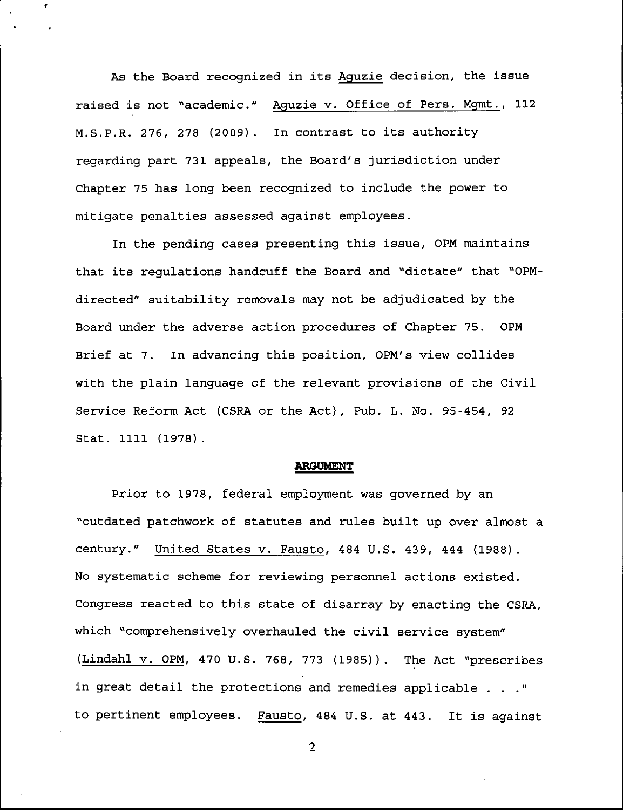As the Board recognized in its Aguzie decision, the issue raised is not "academic." Aguzie v. Office of Pers. Mgmt., 112 M.S.P.R. 276, 278 (2009) . In contrast to its authority regarding part 731 appeals, the Board's jurisdiction under Chapter 75 has long been recognized to include the power to mitigate penalties assessed against employees.

In the pending cases presenting this issue, 0PM maintains that its regulations handcuff the Board and "dictate" that "0PMdirected" suitability removals may not be adjudicated by the Board under the adverse action procedures of Chapter 75. OPM Brief at 7. In advancing this position, OPM's view collides with the plain language of the relevant provisions of the Civil Service Reform Act (CSRA or the Act), Pub. L. No. 95-454, 92 Stat. 1111 (1978).

## ARGUMENT

Prior to 1978, federal employment was governed by an "outdated patchwork of statutes and rules built up over almost a century." United States v. Fausto, 484 U.S. 439, 444 (1988). No systematic scheme for reviewing personnel actions existed. Congress reacted to this state of disarray by enacting the CSRA, which "comprehensively overhauled the civil service system" (Lindahl v. OPM, 470 U.S. 768, 773 (1985)). The Act "prescribes in great detail the protections and remedies applicable ... " to pertinent employees. Fausto, 484 U.S. at 443. It is against

 $\overline{2}$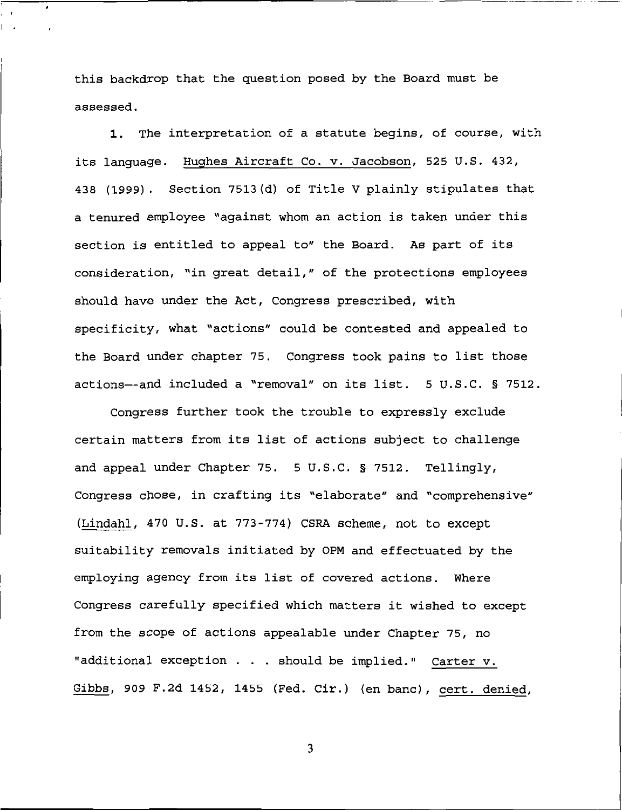this backdrop that the question posed by the Board must be assessed.

 $\pmb{\cdot}$ 

1. The interpretation of a statute begins, of course, with its language. Hughes Aircraft Co. v. Jacobson, 525 U.S. 432, 438 (1999). Section 7513(d) of Title V plainly stipulates that a tenured employee "against whom an action is taken under this section is entitled to appeal to" the Board. As part of its consideration, "in great detail," of the protections employees should have under the Act, Congress prescribed, with specificity, what "actions" could be contested and appealed to the Board under chapter 75. Congress took pains to list those actions—and included a "removal" on its list. 5 U.S.C. § 7512.

Congress further took the trouble to expressly exclude certain matters from its list of actions subject to challenge and appeal under Chapter 75. 5 U.S.C. § 7512. Tellingly, Congress chose, in crafting its "elaborate" and "comprehensive" (Lindahl, 470 U.S. at 773-774) CSRA scheme, not to except suitability removals initiated by OPM and effectuated by the employing agency from its list of covered actions. Where Congress carefully specified which matters it wished to except from the scope of actions appealable under Chapter 75, no "additional exception . . . should be implied." Carter v. Gibbs, 909 F.2d 1452, 1455 (Fed. Cir.) (en bane), cert, denied.

 $\overline{\mathbf{3}}$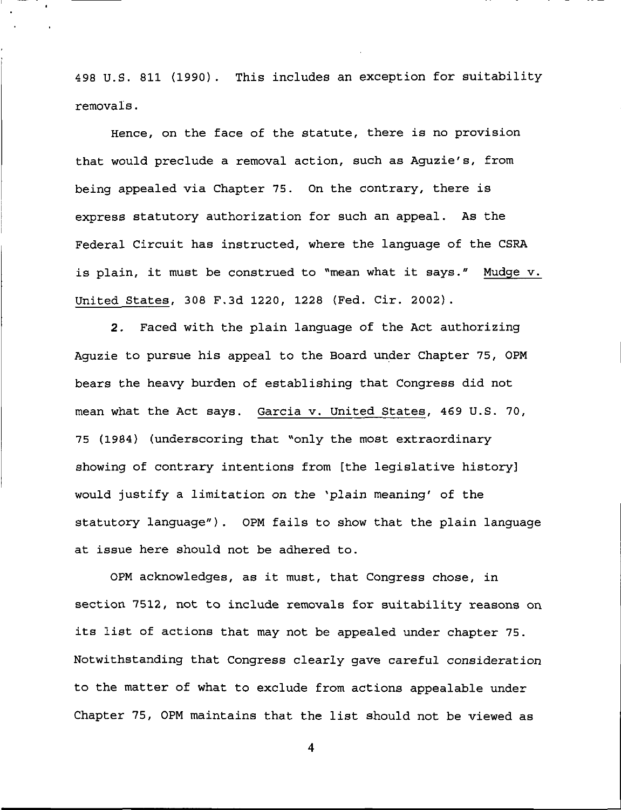498 U.S. 811 (1990). This includes an exception for suitability removals.

Hence, on the face of the statute, there is no provision that would preclude a removal action, such as Aguzie's, from being appealed via Chapter 75. On the contrary, there is express statutory authorization for such an appeal. As the Federal Circuit has instructed, where the language of the CSRA is plain, it must be construed to "mean what it says." Mudge v. United States, 308 F.3d 1220, 1228 {Fed. Cir. 2002).

2. Faced with the plain language of the Act authorizing Aguzie to pursue his appeal to the Board under Chapter 75, 0PM bears the heavy burden of establishing that Congress did not mean what the Act says. Garcia v. United States, 469 U.S. 70, 75 (1984) (underscoring that "only the most extraordinary showing of contrary intentions from [the legislative history] would justify a limitation on the \*plain meaning' of the statutory language"). OPM fails to show that the plain language at issue here should not be adhered to.

OPM acknowledges, as it must/ that Congress chose, in section 7512, not to include removals for suitability reasons on its list of actions that may not be appealed under chapter 75. Notwithstanding that Congress clearly gave careful consideration to the matter of what to exclude from actions appealable under Chapter 75, OPM maintains that the list should not be viewed as

 $\overline{\mathbf{4}}$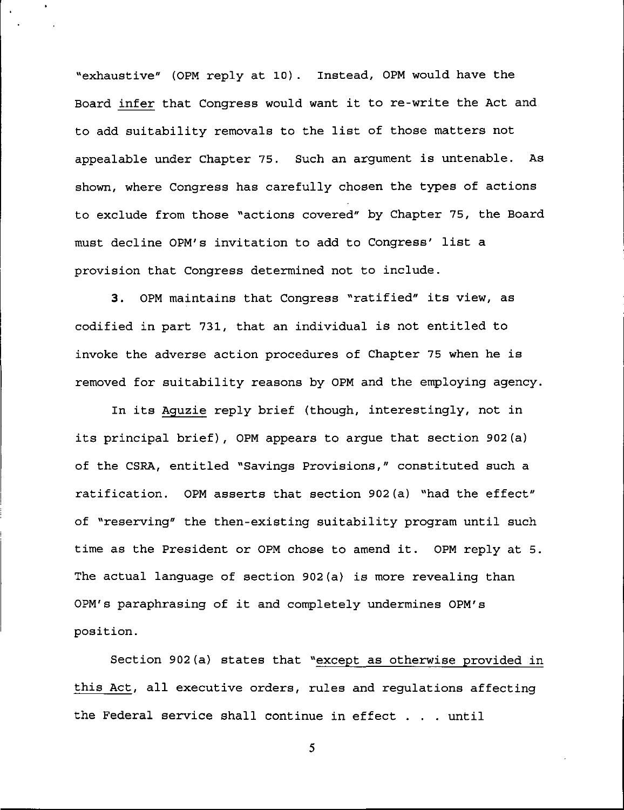"exhaustive" (OPM reply at 10). Instead, 0PM would have the Board infer that Congress would want it to re-write the Act and to add suitability removals to the list of those matters not appealable under Chapter 75. Such an argument is untenable. As shown, where Congress has carefully chosen the types of actions to exclude from those "actions covered" by Chapter 75, the Board must decline OPM's invitation to add to Congress' list a provision that Congress determined not to include.

3. OPM maintains that Congress "ratified" its view, as codified in part 731, that an individual is not entitled to invoke the adverse action procedures of Chapter 75 when he is removed for suitability reasons by OPM and the employing agency.

In its Aguzie reply brief (though, interestingly, not in its principal brief), OPM appears to argue that section 902(a) of the CSRA, entitled "Savings Provisions," constituted such a ratification. OPM asserts that section 902(a) "had the effect" of "reserving" the then-existing suitability program until such time as the President or OPM chose to amend it. OPM reply at 5. The actual language of section 902(a) is more revealing than OPM's paraphrasing of it and completely undermines OPM's position.

Section 902(a) states that "except as otherwise provided in this Act, all executive orders, rules and regulations affecting the Federal service shall continue in effect . . . until

 $5<sup>5</sup>$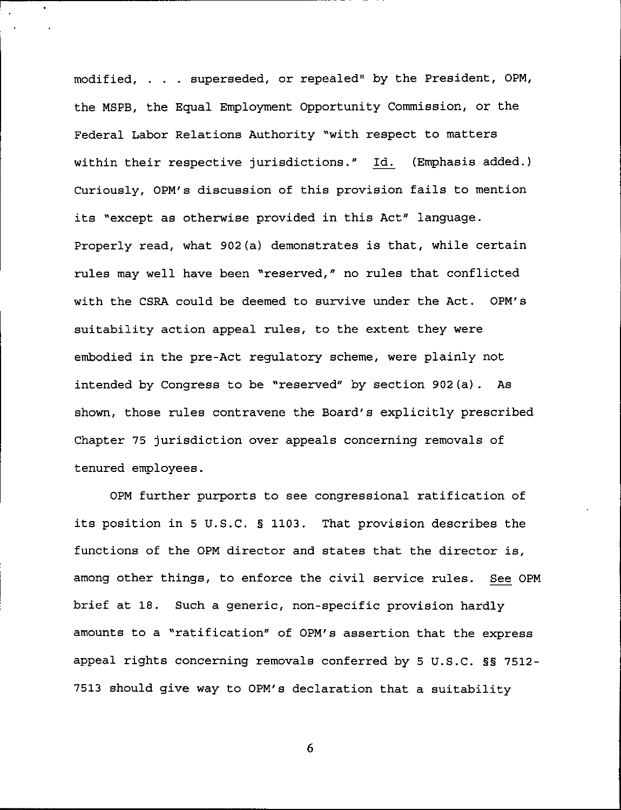modified, . . . superseded, or repealed" by the President, 0PM, the MSPB, the Equal Employment Opportunity Commission, or the Federal Labor Relations Authority "with respect to matters within their respective jurisdictions." Id. (Emphasis added.) Curiously, 0PM's discussion of this provision fails to mention its "except as otherwise provided in this Act" language. Properly read, what 902(a) demonstrates is that, while certain rules may well have been "reserved," no rules that conflicted with the CSRA could be deemed to survive under the Act. 0PM's suitability action appeal rules, to the extent they were embodied in the pre-Act regulatory scheme, were plainly not intended by Congress to be "reserved" by section 902(a). As shown, those rules contravene the Board's explicitly prescribed Chapter 75 jurisdiction over appeals concerning removals of tenured employees.

0PM further purports to see congressional ratification of its position in 5 U.S.C. § 1103. That provision describes the functions of the OPM director and states that the director is, among other things, to enforce the civil service rules. See OPM brief at 18. Such a generic, non-specific provision hardly amounts to a "ratification" of OPM's assertion that the express appeal rights concerning removals conferred by 5 U.S.C. §§ 7512- 7513 should give way to OPM's declaration that a suitability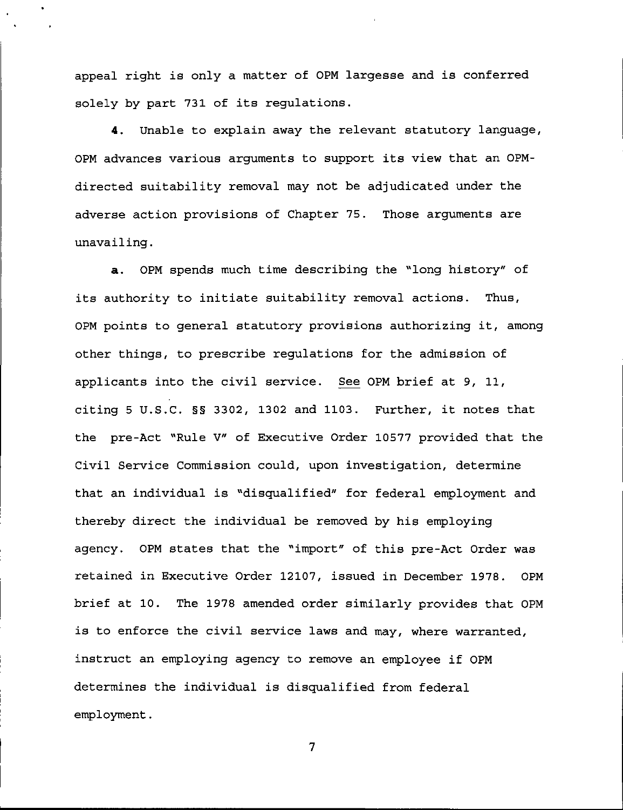appeal right is only a matter of OPM largesse and is conferred solely by part 731 of its regulations.

4. Unable to explain away the relevant statutory language, OPM advances various arguments to support its view that an 0PMdirected suitability removal may not be adjudicated under the adverse action provisions of Chapter 75. Those arguments are unavailing.

a. OPM spends much time describing the "long history" of its authority to initiate suitability removal actions. Thus, OPM points to general statutory provisions authorizing it, among other things, to prescribe regulations for the admission of applicants into the civil service. See OPM brief at 9, 11, citing 5 U.S.C. §§ 3302, 1302 and 1103. Further, it notes that the pre-Act "Rule V" of Executive Order 10577 provided that the Civil Service Commission could, upon investigation, determine that an individual is "disqualified" for federal employment and thereby direct the individual be removed by his employing agency. OPM states that the "import" of this pre-Act Order was retained in Executive Order 12107, issued in December 1978. OPM brief at 10. The 1978 amended order similarly provides that OPM is to enforce the civil service laws and may, where warranted, instruct an employing agency to remove an employee if OPM determines the individual is disqualified from federal employment.

 $\overline{7}$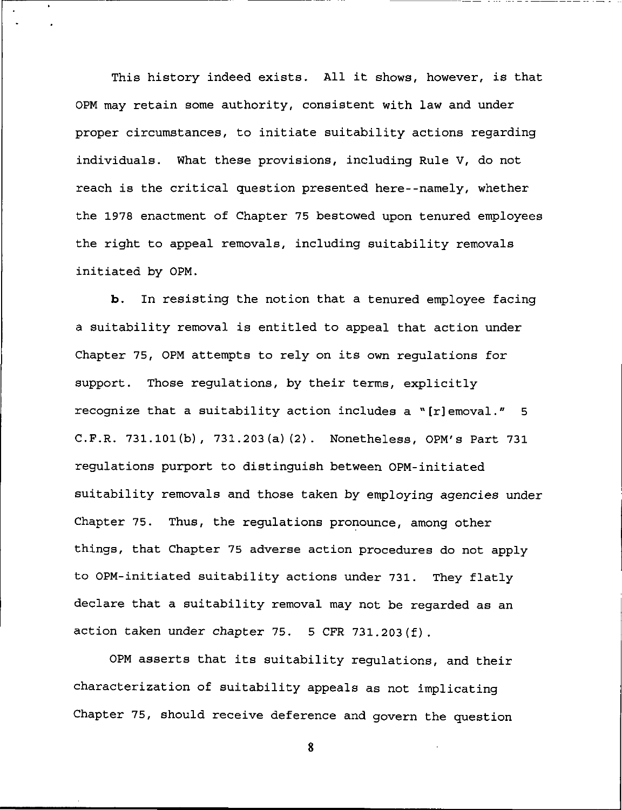This history indeed exists. All it shows, however, is that OPM may retain some authority, consistent with law and under proper circumstances, to initiate suitability actions regarding individuals. What these provisions, including Rule V, do not reach is the critical question presented here--namely, whether the 1978 enactment of Chapter 75 bestowed upon tenured employees the right to appeal removals, including suitability removals initiated by OPM.

b. In resisting the notion that a tenured employee facing a suitability removal is entitled to appeal that action under Chapter 75, OPM attempts to rely on its own regulations for support. Those regulations, by their terms, explicitly recognize that a suitability action includes a "[r]emoval."  $5$ C.F.R. 731.101(b), 731.203(a)(2). Nonetheless, OPM's Part 731 regulations purport to distinguish between OPM-initiated suitability removals and those taken by employing agencies under Chapter 75. Thus, the regulations pronounce, among other things, that Chapter 75 adverse action procedures do not apply to OPM-initiated suitability actions under 731. They flatly declare that a suitability removal may not be regarded as an action taken under chapter 75. 5 CFR 731,203 (f) .

OPM asserts that its suitability regulations, and their characterization of suitability appeals as not implicating Chapter 75, should receive deference and govern the question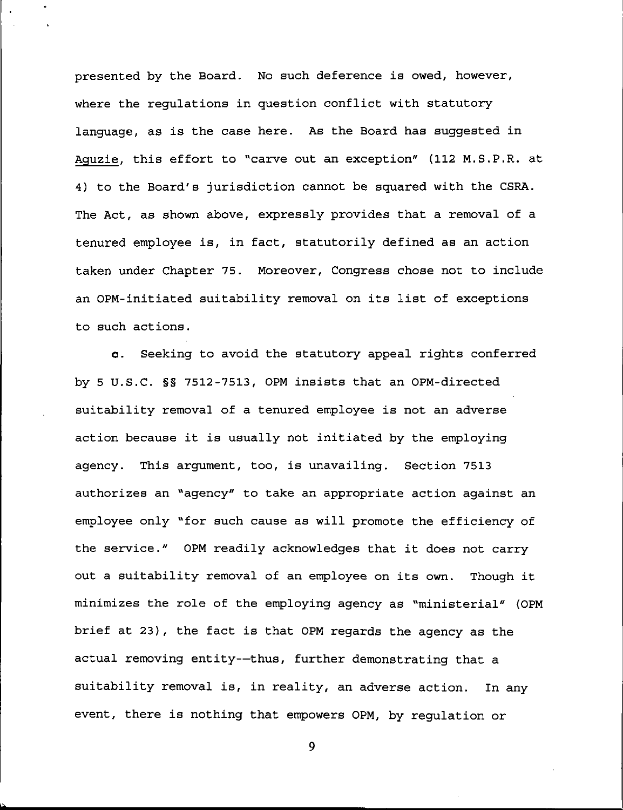presented by the Board. No such deference is owed, however, where the regulations in question conflict with statutory language, as is the case here. As the Board has suggested in Aguzie, this effort to "carve out an exception" (112 M.S.P.R. at 4) to the Board's jurisdiction cannot be squared with the CSRA. The Act, as shown above, expressly provides that a removal of a tenured employee is, in fact, statutorily defined as an action taken under Chapter 75. Moreover, Congress chose not to include an OPM-initiated suitability removal on its list of exceptions to such actions.

c. Seeking to avoid the statutory appeal rights conferred by 5 U.S.C. §§ 7512-7513, OPM insists that an OPM-directed suitability removal of a tenured employee is not an adverse action because it is usually not initiated by the employing agency. This argument, too, is unavailing. Section 7513 authorizes an "agency" to take an appropriate action against an employee only "for such cause as will promote the efficiency of the service." OPM readily acknowledges that it does not carry out a suitability removal of an employee on its own. Though it minimizes the role of the employing agency as "ministerial" (OPM brief at 23}, the fact is that OPM regards the agency as the actual removing entity—thus, further demonstrating that a suitability removal is, in reality, an adverse action. In any event, there is nothing that empowers OPM, by regulation or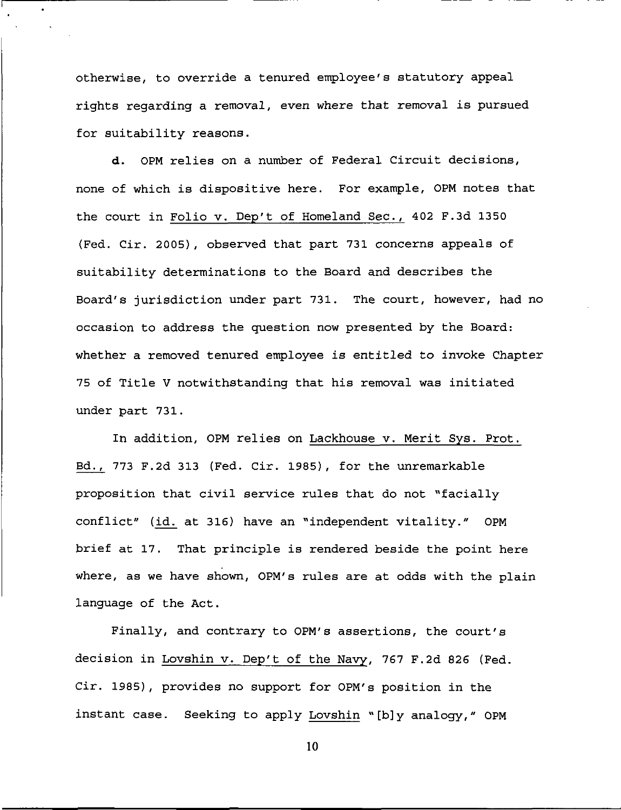otherwise, to override a tenured employee's statutory appeal rights regarding a removal, even where that removal is pursued for suitability reasons.

d. OPM relies on a number of Federal Circuit decisions, none of which is dispositive here. For example, OPM notes that the court in Folio v. Dep't of Homeland See., 402 F.3d 1350 (Fed. Cir. 2005), observed that part 731 concerns appeals of suitability determinations to the Board and describes the Board's jurisdiction under part 731. The court, however, had no occasion to address the question now presented by the Board: whether a removed tenured employee is entitled to invoke Chapter 75 of Title V notwithstanding that his removal was initiated under part 731.

In addition, OPM relies on Lackhouse v. Merit Sys. Prot. Bd., 773 F.2d 313 (Fed. Cir. 1985), for the unremarkable proposition that civil service rules that do not "facially conflict" (id. at 316) have an "independent vitality." OPM brief at 17. That principle is rendered beside the point here where, as we have shown, OPM's rules are at odds with the plain language of the Act.

Finally, and contrary to OPM's assertions, the court's decision in Lovshin v. Dep't of the Navy, 767 F.2d 826 (Fed. Cir. 1985), provides no support for OPM's position in the instant case. Seeking to apply Lovshin "[b]y analogy," OPM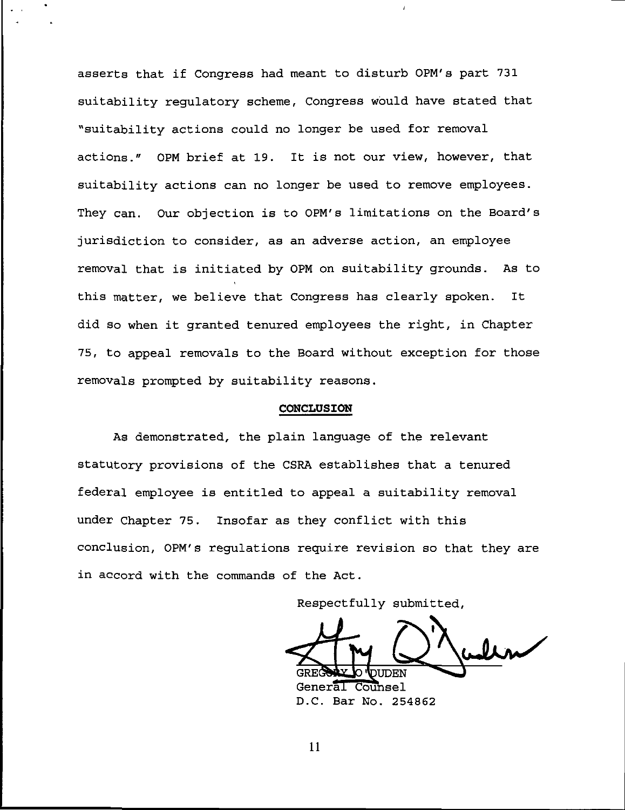asserts that if Congress had meant to disturb 0PM's part 731 suitability regulatory scheme, Congress would have stated that "suitability actions could no longer be used for removal actions." 0PM brief at 19. It is not our view, however, that suitability actions can no longer be used to remove employees. They can. Our objection is to 0PM's limitations on the Board's jurisdiction to consider, as an adverse action, an employee removal that is initiated by 0PM on suitability grounds. As to this matter, we believe that Congress has clearly spoken. It did so when it granted tenured employees the right, in Chapter 75, to appeal removals to the Board without exception for those removals prompted by suitability reasons.

## CONCLUSION

As demonstrated, the plain language of the relevant statutory provisions of the CSRA establishes that a tenured federal employee is entitled to appeal a suitability removal under Chapter 75. Insofar as they conflict with this conclusion, OPM's regulations require revision so that they are in accord with the commands of the Act.

Respectfully submitted,

 $\sum_{i}$ )UDEN General Counsel

D.C. Bar No. 254862